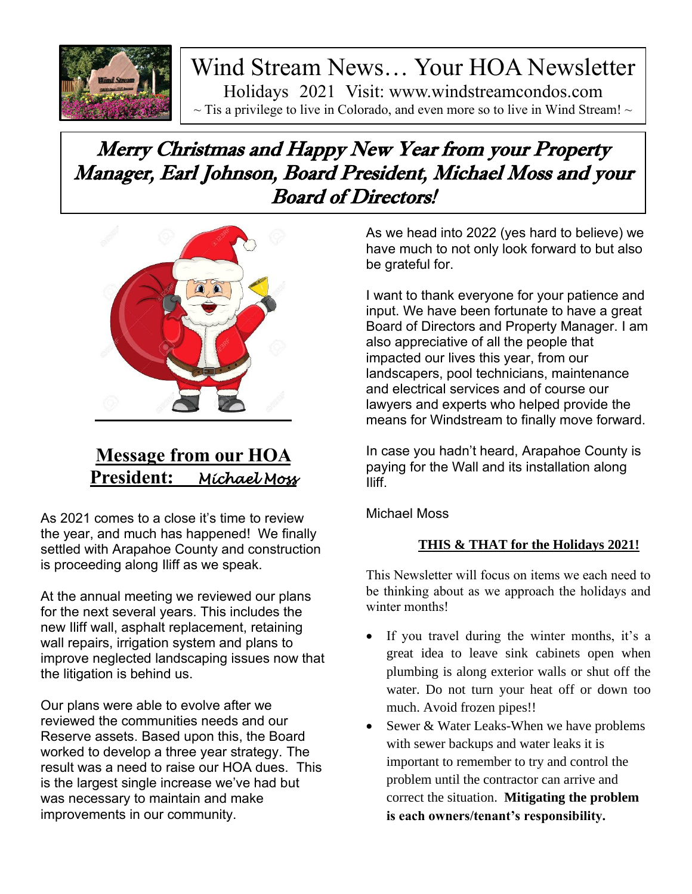

Wind Stream News… Your HOA Newsletter Holidays 2021 Visit: www.windstreamcondos.com  $\sim$  Tis a privilege to live in Colorado, and even more so to live in Wind Stream!  $\sim$ 

# Merry Christmas and Happy New Year from your Property Manager, Earl Johnson, Board President, Michael Moss and your Board of Directors!



## **Message from our HOA President:** *Michael Moss*

As 2021 comes to a close it's time to review the year, and much has happened! We finally settled with Arapahoe County and construction is proceeding along Iliff as we speak.

At the annual meeting we reviewed our plans for the next several years. This includes the new Iliff wall, asphalt replacement, retaining wall repairs, irrigation system and plans to improve neglected landscaping issues now that the litigation is behind us.

Our plans were able to evolve after we reviewed the communities needs and our Reserve assets. Based upon this, the Board worked to develop a three year strategy. The result was a need to raise our HOA dues. This is the largest single increase we've had but was necessary to maintain and make improvements in our community.

As we head into 2022 (yes hard to believe) we have much to not only look forward to but also be grateful for.

I want to thank everyone for your patience and input. We have been fortunate to have a great Board of Directors and Property Manager. I am also appreciative of all the people that impacted our lives this year, from our landscapers, pool technicians, maintenance and electrical services and of course our lawyers and experts who helped provide the means for Windstream to finally move forward.

In case you hadn't heard, Arapahoe County is paying for the Wall and its installation along Iliff.

Michael Moss

### **THIS & THAT for the Holidays 2021!**

This Newsletter will focus on items we each need to be thinking about as we approach the holidays and winter months!

- If you travel during the winter months, it's a great idea to leave sink cabinets open when plumbing is along exterior walls or shut off the water. Do not turn your heat off or down too much. Avoid frozen pipes!!
- Sewer & Water Leaks-When we have problems with sewer backups and water leaks it is important to remember to try and control the problem until the contractor can arrive and correct the situation. **Mitigating the problem is each owners/tenant's responsibility.**